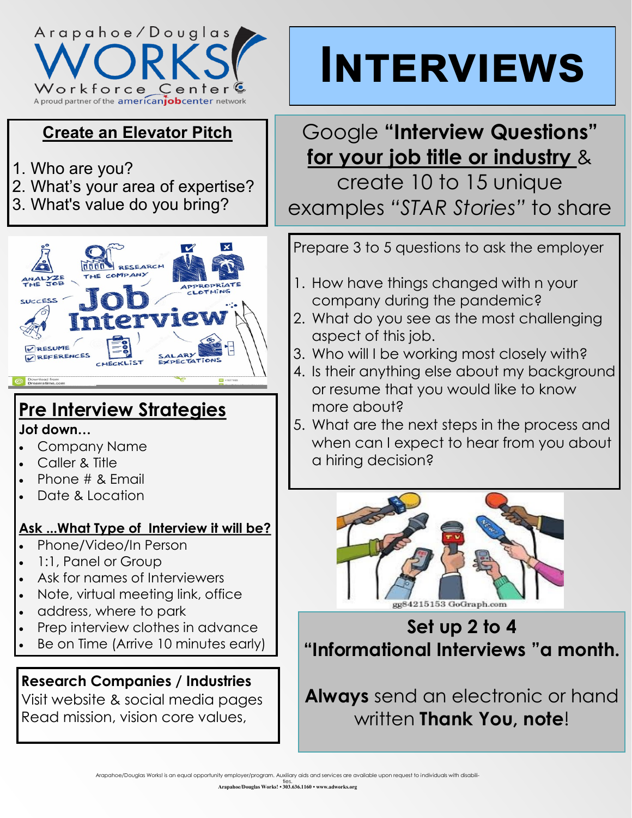

## **Create an Elevator Pitch**

- 1. Who are you?
- 2. What's your area of expertise?
- 3. What's value do you bring?



## **Pre Interview Strategies**

#### **Jot down…**

- Company Name
- Caller & Title
- Phone # & Email
- Date & Location

#### **Ask ...What Type of Interview it will be?**

- Phone/Video/In Person
- 1:1, Panel or Group
- Ask for names of Interviewers
- Note, virtual meeting link, office
- address, where to park
- Prep interview clothes in advance
- Be on Time (Arrive 10 minutes early)

## **Research Companies / Industries**

Visit website & social media pages Read mission, vision core values,

# **Interviews**

## Google **"Interview Questions" for your job title or industry** &

create 10 to 15 unique examples *"STAR Stories"* to share

Prepare 3 to 5 questions to ask the employer

- 1. How have things changed with n your company during the pandemic?
- 2. What do you see as the most challenging aspect of this job.
- 3. Who will I be working most closely with?
- 4. Is their anything else about my background or resume that you would like to know more about?
- 5. What are the next steps in the process and when can I expect to hear from you about a hiring decision?



# **Set up 2 to 4 "Informational Interviews "a month.**

**Always** send an electronic or hand written **Thank You, note**!

ties. **Arapahoe/Douglas Works! • 303.636.1160 • www.adworks.org**

Arapahoe/Douglas Works! is an equal opportunity employer/program. Auxiliary aids and services are available upon request to individuals with disabili-